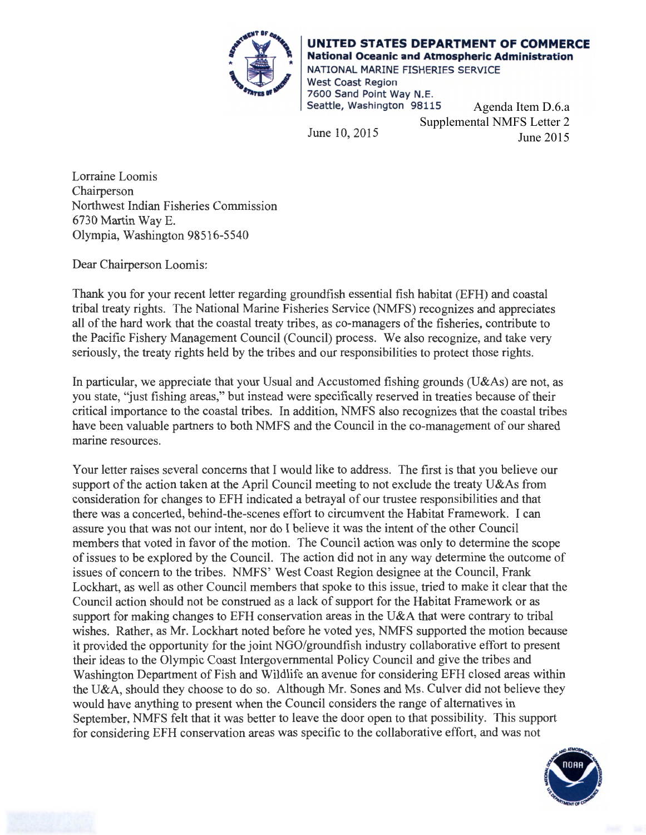

**UNITED STATES DEPARTMENT OF COMMERCE National Oceanic and Atmospheric Administration**  NATIONAL MARINE FISHERIES SERVICE West Coast Region 7600 Sand Point Way N.E. Seattle, Washington 98115

June 10, 2015

Agenda Item D.6.a Supplemental NMFS Letter 2 June 2015

Lorraine Loomis Chairperson Northwest Indian Fisheries Commission 6730 Martin Way E. Olympia, Washington 98516-5540

Dear Chairperson Loomis:

Thank you for your recent letter regarding groundfish essential fish habitat (EFH) and coastal tribal treaty rights. The National Marine Fisheries Service (NMFS) recognizes and appreciates all of the hard work that the coastal treaty tribes, as co-managers of the fisheries, contribute to the Pacific Fishery Management Council (Council) process. We also recognize, and take very seriously, the treaty rights held by the tribes and our responsibilities to protect those rights.

In particular, we appreciate that your Usual and Accustomed fishing grounds (U&As) are not, as you state, "just fishing areas," but instead were specifically reserved in treaties because of their critical importance to the coastal tribes. In addition, NMFS also recognizes that the coastal tribes have been valuable partners to both NMFS and the Council in the co-management of our shared marine resources.

Your letter raises several concerns that I would like to address. The first is that you believe our support of the action taken at the April Council meeting to not exclude the treaty U&As from consideration for changes to EFH indicated a betrayal of our trustee responsibilities and that there was a concerted, behind-the-scenes effort to circumvent the Habitat Framework. I can assure you that was not our intent, nor do I believe it was the intent of the other Council members that voted in favor of the motion. The Council action was only to determine the scope of issues to be explored by the Council. The action did not in any way determine the outcome of issues of concern to the tribes. NMFS' West Coast Region designee at the Council, Frank Lockhart, as well as other Council members that spoke to this issue, tried to make it clear that the Council action should not be construed as a lack of support for the Habitat Framework or as support for making changes to EFH conservation areas in the U&A that were contrary to tribal wishes. Rather, as Mr. Lockhart noted before he voted yes, NMFS supported the motion because it provided the opportunity for the joint NGO/groundfish industry collaborative effort to present their ideas to the Olympic Coast Intergovernmental Policy Council and give the tribes and Washington Department of Fish and Wildlife an avenue for considering EFH closed areas within the U&A, should they choose to do so. Although Mr. Sones and Ms. Culver did not believe they would have anything to present when the Council considers the range of alternatives in September, NMFS felt that it was better to leave the door open to that possibility. This support for considering EFH conservation areas was specific to the collaborative effort, and was not